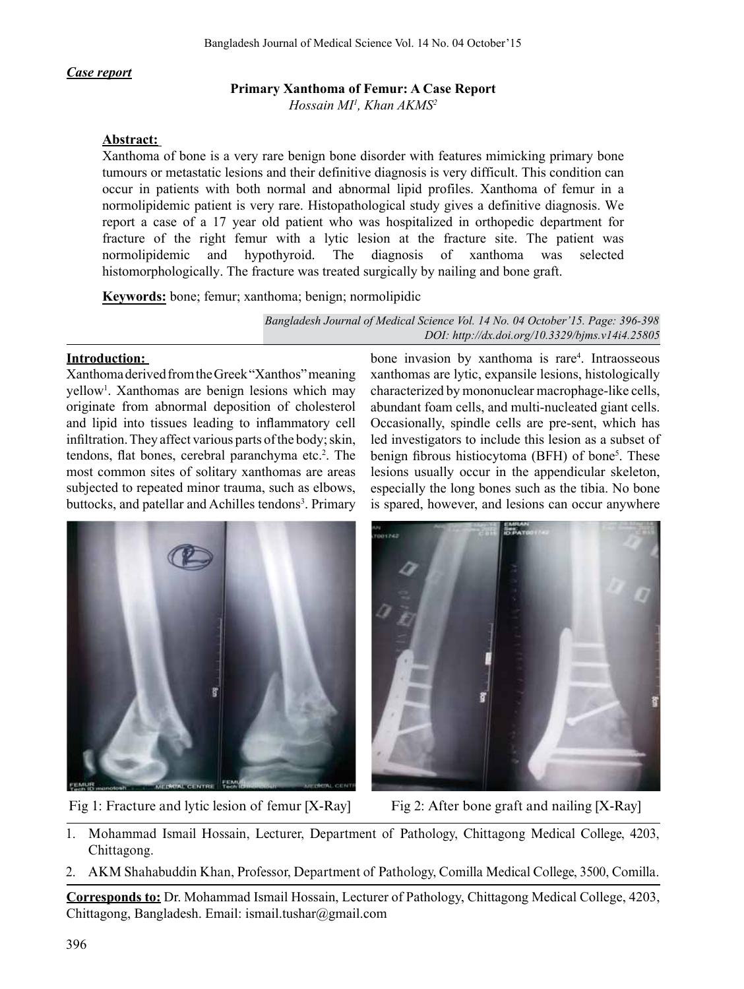# *Case report*

# **Primary Xanthoma of Femur: A Case Report**

*Hossain MI1 , Khan AKMS2*

#### **Abstract:**

Xanthoma of bone is a very rare benign bone disorder with features mimicking primary bone tumours or metastatic lesions and their definitive diagnosis is very difficult. This condition can occur in patients with both normal and abnormal lipid profiles. Xanthoma of femur in a normolipidemic patient is very rare. Histopathological study gives a definitive diagnosis. We report a case of a 17 year old patient who was hospitalized in orthopedic department for fracture of the right femur with a lytic lesion at the fracture site. The patient was normolipidemic and hypothyroid. The diagnosis of xanthoma was selected histomorphologically. The fracture was treated surgically by nailing and bone graft.

**Keywords:** bone; femur; xanthoma; benign; normolipidic

*[Bangladesh Journal of Medical Science Vol. 14 No. 04 October'15. Page: 396-398](http://dx.doi.org/10.3329/bjms.v14i4.25805) DOI: http://dx.doi.org/10.3329/bjms.v14i4.25805*

# **Introduction:**

XanthomaderivedfromtheGreek"Xanthos"meaning yellow<sup>1</sup>. Xanthomas are benign lesions which may originate from abnormal deposition of cholesterol and lipid into tissues leading to inflammatory cell infiltration. They affect various parts of the body; skin, tendons, flat bones, cerebral paranchyma etc.<sup>2</sup>. The most common sites of solitary xanthomas are areas subjected to repeated minor trauma, such as elbows, buttocks, and patellar and Achilles tendons<sup>3</sup>. Primary

bone invasion by xanthoma is rare<sup>4</sup>. Intraosseous xanthomas are lytic, expansile lesions, histologically characterized by mononuclear macrophage-like cells, abundant foam cells, and multi-nucleated giant cells. Occasionally, spindle cells are pre-sent, which has led investigators to include this lesion as a subset of benign fibrous histiocytoma (BFH) of bone<sup>5</sup>. These lesions usually occur in the appendicular skeleton, especially the long bones such as the tibia. No bone is spared, however, and lesions can occur anywhere



Fig 1: Fracture and lytic lesion of femur [X-Ray] Fig 2: After bone graft and nailing [X-Ray]



- 1. Mohammad Ismail Hossain, Lecturer, Department of Pathology, Chittagong Medical College, 4203, Chittagong.
- 2. AKM Shahabuddin Khan, Professor, Department of Pathology, Comilla Medical College, 3500, Comilla.

**Corresponds to:** Dr. Mohammad Ismail Hossain, Lecturer of Pathology, Chittagong Medical College, 4203, Chittagong, Bangladesh. Email: ismail.tushar@gmail.com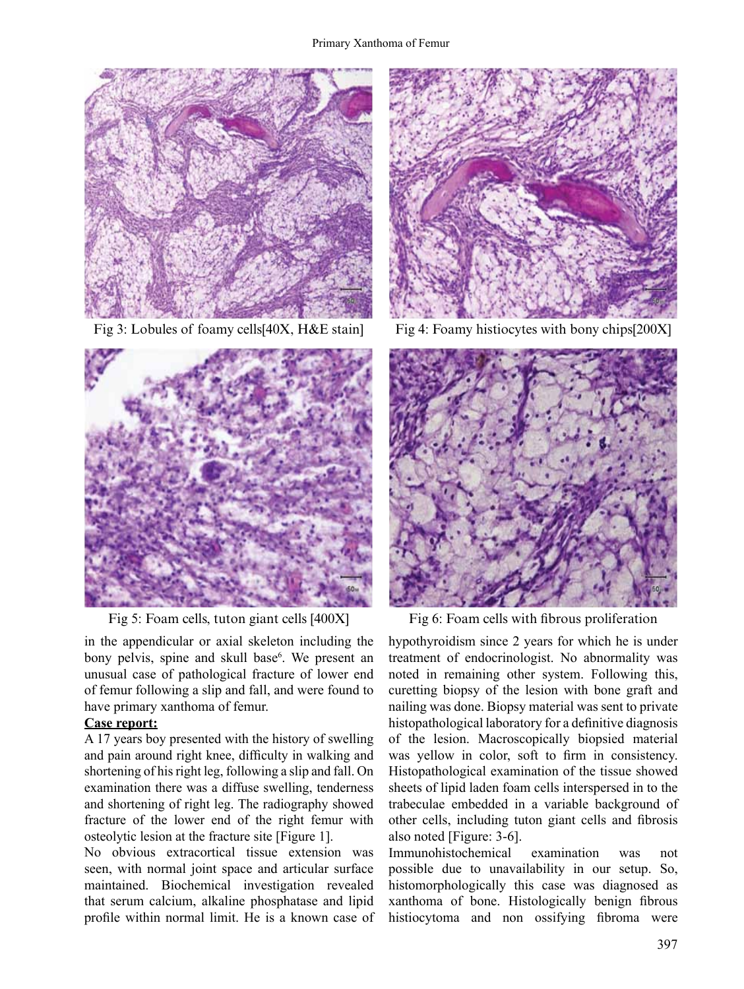



in the appendicular or axial skeleton including the bony pelvis, spine and skull base<sup>6</sup>. We present an unusual case of pathological fracture of lower end of femur following a slip and fall, and were found to have primary xanthoma of femur.

# **Case report:**

A 17 years boy presented with the history of swelling and pain around right knee, difficulty in walking and shortening of his right leg, following a slip and fall. On examination there was a diffuse swelling, tenderness and shortening of right leg. The radiography showed fracture of the lower end of the right femur with osteolytic lesion at the fracture site [Figure 1].

No obvious extracortical tissue extension was seen, with normal joint space and articular surface maintained. Biochemical investigation revealed that serum calcium, alkaline phosphatase and lipid profile within normal limit. He is a known case of



Fig 3: Lobules of foamy cells<sup>[40X]</sup>, H&E stain] Fig 4: Foamy histiocytes with bony chips<sup>[200X]</sup>



Fig 5: Foam cells, tuton giant cells [400X] Fig 6: Foam cells with fibrous proliferation

hypothyroidism since 2 years for which he is under treatment of endocrinologist. No abnormality was noted in remaining other system. Following this, curetting biopsy of the lesion with bone graft and nailing was done. Biopsy material was sent to private histopathological laboratory for a definitive diagnosis of the lesion. Macroscopically biopsied material was yellow in color, soft to firm in consistency. Histopathological examination of the tissue showed sheets of lipid laden foam cells interspersed in to the trabeculae embedded in a variable background of other cells, including tuton giant cells and fibrosis also noted [Figure: 3-6].

Immunohistochemical examination was not possible due to unavailability in our setup. So, histomorphologically this case was diagnosed as xanthoma of bone. Histologically benign fibrous histiocytoma and non ossifying fibroma were